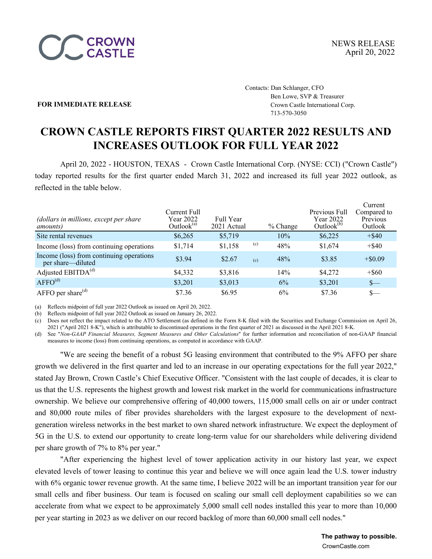

Contacts: Dan Schlanger, CFO Ben Lowe, SVP & Treasurer **FOR IMMEDIATE RELEASE Crown Castle International Corp.** 713-570-3050

# **CROWN CASTLE REPORTS FIRST QUARTER 2022 RESULTS AND INCREASES OUTLOOK FOR FULL YEAR 2022**

April 20, 2022 - HOUSTON, TEXAS - Crown Castle International Corp. (NYSE: CCI) ("Crown Castle") today reported results for the first quarter ended March 31, 2022 and increased its full year 2022 outlook, as reflected in the table below.

| (dollars in millions, except per share<br><i>amounts</i> )    | Current Full<br>Year 2022<br>Outlook <sup>(a)</sup> | Full Year<br>2021 Actual |     | $%$ Change | Previous Full<br>Year 2022<br>Outlook $(b)$ | Current<br>Compared to<br>Previous<br>Outlook |
|---------------------------------------------------------------|-----------------------------------------------------|--------------------------|-----|------------|---------------------------------------------|-----------------------------------------------|
| Site rental revenues                                          | \$6,265                                             | \$5,719                  |     | 10%        | \$6,225                                     | $+$ \$40                                      |
| Income (loss) from continuing operations                      | \$1,714                                             | \$1,158                  | (c) | 48%        | \$1,674                                     | $+$ \$40                                      |
| Income (loss) from continuing operations<br>per share—diluted | \$3.94                                              | \$2.67                   | (c) | 48%        | \$3.85                                      | $+$ \$0.09                                    |
| Adjusted EBITDA <sup>(d)</sup>                                | \$4,332                                             | \$3,816                  |     | 14%        | \$4,272                                     | $+$ \$60                                      |
| AFFO <sup>(d)</sup>                                           | \$3,201                                             | \$3,013                  |     | 6%         | \$3,201                                     | $S-$                                          |
| AFFO per share $(d)$                                          | \$7.36                                              | \$6.95                   |     | 6%         | \$7.36                                      | $S-$                                          |

(a) Reflects midpoint of full year 2022 Outlook as issued on April 20, 2022.

(b) Reflects midpoint of full year 2022 Outlook as issued on January 26, 2022.

(c) Does not reflect the impact related to the ATO Settlement (as defined in the Form 8-K filed with the Securities and Exchange Commission on April 26, 2021 ("April 2021 8-K"), which is attributable to discontinued operations in the first quarter of 2021 as discussed in the April 2021 8-K.

(d) See "*Non-GAAP Financial Measures, Segment Measures and Other Calculations*" for further information and reconciliation of non-GAAP financial measures to income (loss) from continuing operations, as computed in accordance with GAAP.

"We are seeing the benefit of a robust 5G leasing environment that contributed to the 9% AFFO per share growth we delivered in the first quarter and led to an increase in our operating expectations for the full year 2022," stated Jay Brown, Crown Castle's Chief Executive Officer. "Consistent with the last couple of decades, it is clear to us that the U.S. represents the highest growth and lowest risk market in the world for communications infrastructure ownership. We believe our comprehensive offering of 40,000 towers, 115,000 small cells on air or under contract and 80,000 route miles of fiber provides shareholders with the largest exposure to the development of nextgeneration wireless networks in the best market to own shared network infrastructure. We expect the deployment of 5G in the U.S. to extend our opportunity to create long-term value for our shareholders while delivering dividend per share growth of 7% to 8% per year."

"After experiencing the highest level of tower application activity in our history last year, we expect elevated levels of tower leasing to continue this year and believe we will once again lead the U.S. tower industry with 6% organic tower revenue growth. At the same time, I believe 2022 will be an important transition year for our small cells and fiber business. Our team is focused on scaling our small cell deployment capabilities so we can accelerate from what we expect to be approximately 5,000 small cell nodes installed this year to more than 10,000 per year starting in 2023 as we deliver on our record backlog of more than 60,000 small cell nodes."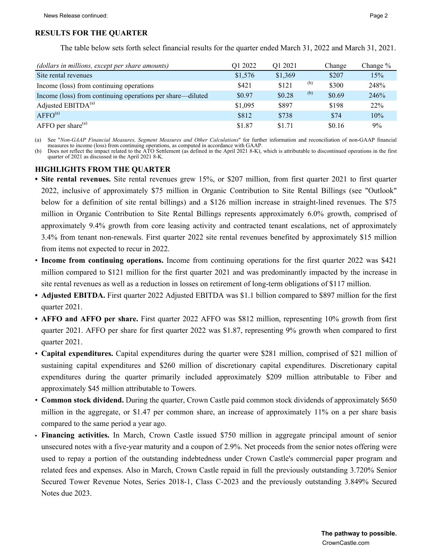## **RESULTS FOR THE QUARTER**

The table below sets forth select financial results for the quarter ended March 31, 2022 and March 31, 2021.

| (dollars in millions, except per share amounts)            | O1 2022 | O1 2021 |     | Change | Change $%$ |
|------------------------------------------------------------|---------|---------|-----|--------|------------|
| Site rental revenues                                       | \$1,576 | \$1,369 |     | \$207  | 15%        |
| Income (loss) from continuing operations                   | \$421   | \$121   | (b) | \$300  | 248%       |
| Income (loss) from continuing operations per share—diluted | \$0.97  | \$0.28  | (b) | \$0.69 | 246%       |
| Adjusted $EBITDA(a)$                                       | \$1,095 | \$897   |     | \$198  | 22%        |
| AFFO <sup>(a)</sup>                                        | \$812   | \$738   |     | \$74   | 10%        |
| $AFFO$ per share <sup>(a)</sup>                            | \$1.87  | \$1.71  |     | \$0.16 | 9%         |

(a) See "*Non-GAAP Financial Measures, Segment Measures and Other Calculations*" for further information and reconciliation of non-GAAP financial measures to income (loss) from continuing operations, as computed in accordance with GAAP.

(b) Does not reflect the impact related to the ATO Settlement (as defined in the April 2021 8-K), which is attributable to discontinued operations in the first quarter of 2021 as discussed in the April 2021 8-K.

### **HIGHLIGHTS FROM THE QUARTER**

- **• Site rental revenues.** Site rental revenues grew 15%, or \$207 million, from first quarter 2021 to first quarter 2022, inclusive of approximately \$75 million in Organic Contribution to Site Rental Billings (see "Outlook" below for a definition of site rental billings) and a \$126 million increase in straight-lined revenues. The \$75 million in Organic Contribution to Site Rental Billings represents approximately 6.0% growth, comprised of approximately 9.4% growth from core leasing activity and contracted tenant escalations, net of approximately 3.4% from tenant non-renewals. First quarter 2022 site rental revenues benefited by approximately \$15 million from items not expected to recur in 2022.
- **Income from continuing operations.** Income from continuing operations for the first quarter 2022 was \$421 million compared to \$121 million for the first quarter 2021 and was predominantly impacted by the increase in site rental revenues as well as a reduction in losses on retirement of long-term obligations of \$117 million.
- **• Adjusted EBITDA.** First quarter 2022 Adjusted EBITDA was \$1.1 billion compared to \$897 million for the first quarter 2021.
- **• AFFO and AFFO per share.** First quarter 2022 AFFO was \$812 million, representing 10% growth from first quarter 2021. AFFO per share for first quarter 2022 was \$1.87, representing 9% growth when compared to first quarter 2021.
- **Capital expenditures.** Capital expenditures during the quarter were \$281 million, comprised of \$21 million of sustaining capital expenditures and \$260 million of discretionary capital expenditures. Discretionary capital expenditures during the quarter primarily included approximately \$209 million attributable to Fiber and approximately \$45 million attributable to Towers.
- **Common stock dividend.** During the quarter, Crown Castle paid common stock dividends of approximately \$650 million in the aggregate, or \$1.47 per common share, an increase of approximately 11% on a per share basis compared to the same period a year ago.
- **• Financing activities.** In March, Crown Castle issued \$750 million in aggregate principal amount of senior unsecured notes with a five-year maturity and a coupon of 2.9%. Net proceeds from the senior notes offering were used to repay a portion of the outstanding indebtedness under Crown Castle's commercial paper program and related fees and expenses. Also in March, Crown Castle repaid in full the previously outstanding 3.720% Senior Secured Tower Revenue Notes, Series 2018-1, Class C-2023 and the previously outstanding 3.849% Secured Notes due 2023.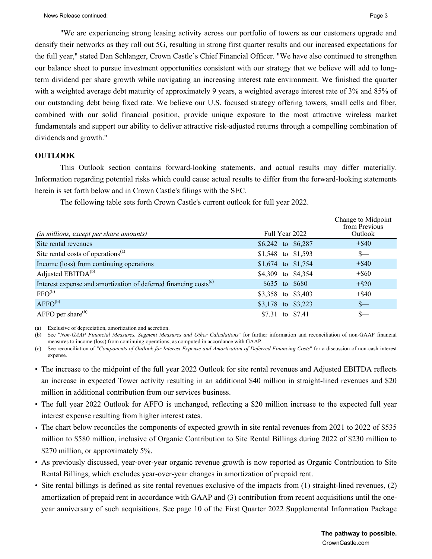"We are experiencing strong leasing activity across our portfolio of towers as our customers upgrade and densify their networks as they roll out 5G, resulting in strong first quarter results and our increased expectations for the full year," stated Dan Schlanger, Crown Castle's Chief Financial Officer. "We have also continued to strengthen our balance sheet to pursue investment opportunities consistent with our strategy that we believe will add to longterm dividend per share growth while navigating an increasing interest rate environment. We finished the quarter with a weighted average debt maturity of approximately 9 years, a weighted average interest rate of 3% and 85% of our outstanding debt being fixed rate. We believe our U.S. focused strategy offering towers, small cells and fiber, combined with our solid financial position, provide unique exposure to the most attractive wireless market fundamentals and support our ability to deliver attractive risk-adjusted returns through a compelling combination of dividends and growth."

## **OUTLOOK**

This Outlook section contains forward-looking statements, and actual results may differ materially. Information regarding potential risks which could cause actual results to differ from the forward-looking statements herein is set forth below and in Crown Castle's filings with the SEC.

The following table sets forth Crown Castle's current outlook for full year 2022.

|                                                                              |                    | Change to Midpoint<br>from Previous |
|------------------------------------------------------------------------------|--------------------|-------------------------------------|
| (in millions, except per share amounts)                                      | Full Year 2022     | Outlook                             |
| Site rental revenues                                                         | \$6,242 to \$6,287 | $+$ \$40                            |
| Site rental costs of operations <sup>(a)</sup>                               | \$1,548 to \$1,593 | $S-$                                |
| Income (loss) from continuing operations                                     | \$1,674 to \$1,754 | $+$ \$40                            |
| Adjusted EBITDA <sup>(b)</sup>                                               | \$4,309 to \$4,354 | $+$ \$60                            |
| Interest expense and amortization of deferred financing costs <sup>(c)</sup> | \$635 to \$680     | $+$ \$20                            |
| FFO <sup>(b)</sup>                                                           | \$3,358 to \$3,403 | $+$ \$40                            |
| $AFFO^{(b)}$                                                                 | \$3,178 to \$3,223 | $S-$                                |
| AFFO per share $^{(b)}$                                                      | \$7.31 to \$7.41   | S—                                  |

(a) Exclusive of depreciation, amortization and accretion.

(b) See "*Non-GAAP Financial Measures, Segment Measures and Other Calculations*" for further information and reconciliation of non-GAAP financial measures to income (loss) from continuing operations, as computed in accordance with GAAP.

(c) See reconciliation of "*Components of Outlook for Interest Expense and Amortization of Deferred Financing Costs*" for a discussion of non-cash interest expense.

- The increase to the midpoint of the full year 2022 Outlook for site rental revenues and Adjusted EBITDA reflects an increase in expected Tower activity resulting in an additional \$40 million in straight-lined revenues and \$20 million in additional contribution from our services business.
- The full year 2022 Outlook for AFFO is unchanged, reflecting a \$20 million increase to the expected full year interest expense resulting from higher interest rates.
- The chart below reconciles the components of expected growth in site rental revenues from 2021 to 2022 of \$535 million to \$580 million, inclusive of Organic Contribution to Site Rental Billings during 2022 of \$230 million to \$270 million, or approximately 5%.
- As previously discussed, year-over-year organic revenue growth is now reported as Organic Contribution to Site Rental Billings, which excludes year-over-year changes in amortization of prepaid rent.
- Site rental billings is defined as site rental revenues exclusive of the impacts from (1) straight-lined revenues, (2) amortization of prepaid rent in accordance with GAAP and (3) contribution from recent acquisitions until the oneyear anniversary of such acquisitions. See page 10 of the First Quarter 2022 Supplemental Information Package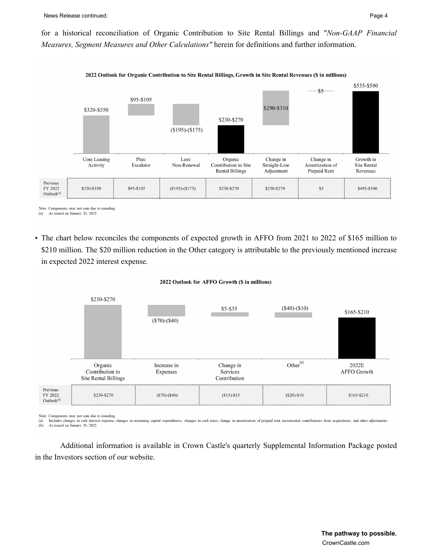for a historical reconciliation of Organic Contribution to Site Rental Billings and "*Non-GAAP Financial Measures, Segment Measures and Other Calculations"* herein for definitions and further information.



Note: Components may not sum due to rounding

• The chart below reconciles the components of expected growth in AFFO from 2021 to 2022 of \$165 million to \$210 million. The \$20 million reduction in the Other category is attributable to the previously mentioned increase in expected 2022 interest expense.

#### 2022 Outlook for AFFO Growth (\$ in millions)



Note: Components may not sum due to rounding

 $\begin{pmatrix} a \\ b \end{pmatrix}$ Includes changes in cash interest expense, changes in sustaining capital expenditures, changes in cash taxes, change in amortization of prepaid rent, incremental contributions from acquisitions, and other adjustments. As issued on January 26, 2022.

Additional information is available in Crown Castle's quarterly Supplemental Information Package posted in the Investors section of our website.

<sup>(</sup>a) As issued on January 26, 2022.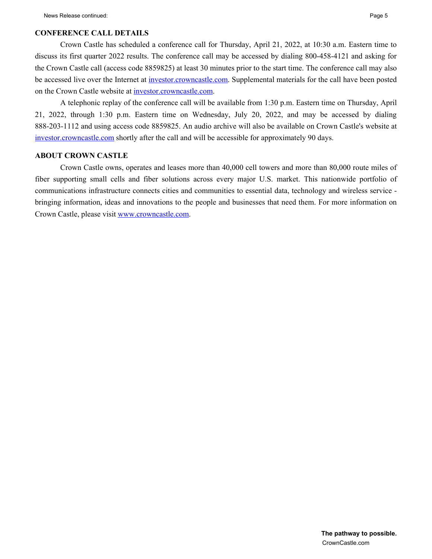## **CONFERENCE CALL DETAILS**

Crown Castle has scheduled a conference call for Thursday, April 21, 2022, at 10:30 a.m. Eastern time to discuss its first quarter 2022 results. The conference call may be accessed by dialing 800-458-4121 and asking for the Crown Castle call (access code 8859825) at least 30 minutes prior to the start time. The conference call may also be accessed live over the Internet at investor.crowncastle.com. Supplemental materials for the call have been posted on the Crown Castle website at investor.crowncastle.com.

A telephonic replay of the conference call will be available from 1:30 p.m. Eastern time on Thursday, April 21, 2022, through 1:30 p.m. Eastern time on Wednesday, July 20, 2022, and may be accessed by dialing 888-203-1112 and using access code 8859825. An audio archive will also be available on Crown Castle's website at investor.crowncastle.com shortly after the call and will be accessible for approximately 90 days.

## **ABOUT CROWN CASTLE**

Crown Castle owns, operates and leases more than 40,000 cell towers and more than 80,000 route miles of fiber supporting small cells and fiber solutions across every major U.S. market. This nationwide portfolio of communications infrastructure connects cities and communities to essential data, technology and wireless service bringing information, ideas and innovations to the people and businesses that need them. For more information on Crown Castle, please visit www.crowncastle.com.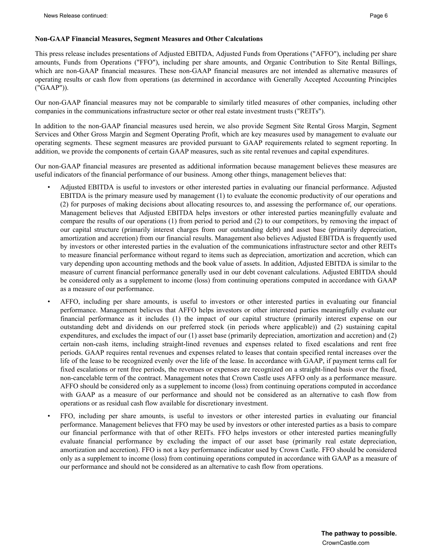This press release includes presentations of Adjusted EBITDA, Adjusted Funds from Operations ("AFFO"), including per share amounts, Funds from Operations ("FFO"), including per share amounts, and Organic Contribution to Site Rental Billings, which are non-GAAP financial measures. These non-GAAP financial measures are not intended as alternative measures of operating results or cash flow from operations (as determined in accordance with Generally Accepted Accounting Principles ("GAAP")).

Our non-GAAP financial measures may not be comparable to similarly titled measures of other companies, including other companies in the communications infrastructure sector or other real estate investment trusts ("REITs").

In addition to the non-GAAP financial measures used herein, we also provide Segment Site Rental Gross Margin, Segment Services and Other Gross Margin and Segment Operating Profit, which are key measures used by management to evaluate our operating segments. These segment measures are provided pursuant to GAAP requirements related to segment reporting. In addition, we provide the components of certain GAAP measures, such as site rental revenues and capital expenditures.

Our non-GAAP financial measures are presented as additional information because management believes these measures are useful indicators of the financial performance of our business. Among other things, management believes that:

- Adjusted EBITDA is useful to investors or other interested parties in evaluating our financial performance. Adjusted EBITDA is the primary measure used by management (1) to evaluate the economic productivity of our operations and (2) for purposes of making decisions about allocating resources to, and assessing the performance of, our operations. Management believes that Adjusted EBITDA helps investors or other interested parties meaningfully evaluate and compare the results of our operations (1) from period to period and (2) to our competitors, by removing the impact of our capital structure (primarily interest charges from our outstanding debt) and asset base (primarily depreciation, amortization and accretion) from our financial results. Management also believes Adjusted EBITDA is frequently used by investors or other interested parties in the evaluation of the communications infrastructure sector and other REITs to measure financial performance without regard to items such as depreciation, amortization and accretion, which can vary depending upon accounting methods and the book value of assets. In addition, Adjusted EBITDA is similar to the measure of current financial performance generally used in our debt covenant calculations. Adjusted EBITDA should be considered only as a supplement to income (loss) from continuing operations computed in accordance with GAAP as a measure of our performance.
- AFFO, including per share amounts, is useful to investors or other interested parties in evaluating our financial performance. Management believes that AFFO helps investors or other interested parties meaningfully evaluate our financial performance as it includes (1) the impact of our capital structure (primarily interest expense on our outstanding debt and dividends on our preferred stock (in periods where applicable)) and (2) sustaining capital expenditures, and excludes the impact of our (1) asset base (primarily depreciation, amortization and accretion) and (2) certain non-cash items, including straight-lined revenues and expenses related to fixed escalations and rent free periods. GAAP requires rental revenues and expenses related to leases that contain specified rental increases over the life of the lease to be recognized evenly over the life of the lease. In accordance with GAAP, if payment terms call for fixed escalations or rent free periods, the revenues or expenses are recognized on a straight-lined basis over the fixed, non-cancelable term of the contract. Management notes that Crown Castle uses AFFO only as a performance measure. AFFO should be considered only as a supplement to income (loss) from continuing operations computed in accordance with GAAP as a measure of our performance and should not be considered as an alternative to cash flow from operations or as residual cash flow available for discretionary investment.
- FFO, including per share amounts, is useful to investors or other interested parties in evaluating our financial performance. Management believes that FFO may be used by investors or other interested parties as a basis to compare our financial performance with that of other REITs. FFO helps investors or other interested parties meaningfully evaluate financial performance by excluding the impact of our asset base (primarily real estate depreciation, amortization and accretion). FFO is not a key performance indicator used by Crown Castle. FFO should be considered only as a supplement to income (loss) from continuing operations computed in accordance with GAAP as a measure of our performance and should not be considered as an alternative to cash flow from operations.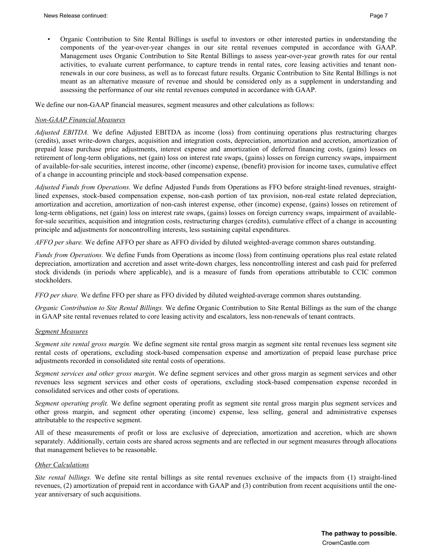• Organic Contribution to Site Rental Billings is useful to investors or other interested parties in understanding the components of the year-over-year changes in our site rental revenues computed in accordance with GAAP. Management uses Organic Contribution to Site Rental Billings to assess year-over-year growth rates for our rental activities, to evaluate current performance, to capture trends in rental rates, core leasing activities and tenant nonrenewals in our core business, as well as to forecast future results. Organic Contribution to Site Rental Billings is not meant as an alternative measure of revenue and should be considered only as a supplement in understanding and assessing the performance of our site rental revenues computed in accordance with GAAP.

We define our non-GAAP financial measures, segment measures and other calculations as follows:

#### *Non-GAAP Financial Measures*

*Adjusted EBITDA.* We define Adjusted EBITDA as income (loss) from continuing operations plus restructuring charges (credits), asset write-down charges, acquisition and integration costs, depreciation, amortization and accretion, amortization of prepaid lease purchase price adjustments, interest expense and amortization of deferred financing costs, (gains) losses on retirement of long-term obligations, net (gain) loss on interest rate swaps, (gains) losses on foreign currency swaps, impairment of available-for-sale securities, interest income, other (income) expense, (benefit) provision for income taxes, cumulative effect of a change in accounting principle and stock-based compensation expense.

*Adjusted Funds from Operations.* We define Adjusted Funds from Operations as FFO before straight-lined revenues, straightlined expenses, stock-based compensation expense, non-cash portion of tax provision, non-real estate related depreciation, amortization and accretion, amortization of non-cash interest expense, other (income) expense, (gains) losses on retirement of long-term obligations, net (gain) loss on interest rate swaps, (gains) losses on foreign currency swaps, impairment of availablefor-sale securities, acquisition and integration costs, restructuring charges (credits), cumulative effect of a change in accounting principle and adjustments for noncontrolling interests, less sustaining capital expenditures.

*AFFO per share.* We define AFFO per share as AFFO divided by diluted weighted-average common shares outstanding.

*Funds from Operations.* We define Funds from Operations as income (loss) from continuing operations plus real estate related depreciation, amortization and accretion and asset write-down charges, less noncontrolling interest and cash paid for preferred stock dividends (in periods where applicable), and is a measure of funds from operations attributable to CCIC common stockholders.

*FFO per share.* We define FFO per share as FFO divided by diluted weighted-average common shares outstanding.

*Organic Contribution to Site Rental Billings.* We define Organic Contribution to Site Rental Billings as the sum of the change in GAAP site rental revenues related to core leasing activity and escalators, less non-renewals of tenant contracts.

#### *Segment Measures*

*Segment site rental gross margin.* We define segment site rental gross margin as segment site rental revenues less segment site rental costs of operations, excluding stock-based compensation expense and amortization of prepaid lease purchase price adjustments recorded in consolidated site rental costs of operations.

*Segment services and other gross margin*. We define segment services and other gross margin as segment services and other revenues less segment services and other costs of operations, excluding stock-based compensation expense recorded in consolidated services and other costs of operations.

*Segment operating profit.* We define segment operating profit as segment site rental gross margin plus segment services and other gross margin, and segment other operating (income) expense, less selling, general and administrative expenses attributable to the respective segment.

All of these measurements of profit or loss are exclusive of depreciation, amortization and accretion, which are shown separately. Additionally, certain costs are shared across segments and are reflected in our segment measures through allocations that management believes to be reasonable.

#### *Other Calculations*

*Site rental billings.* We define site rental billings as site rental revenues exclusive of the impacts from (1) straight-lined revenues, (2) amortization of prepaid rent in accordance with GAAP and (3) contribution from recent acquisitions until the oneyear anniversary of such acquisitions.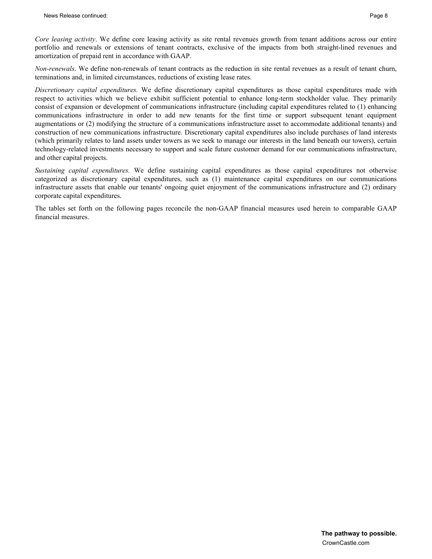*Core leasing activity*. We define core leasing activity as site rental revenues growth from tenant additions across our entire portfolio and renewals or extensions of tenant contracts, exclusive of the impacts from both straight-lined revenues and amortization of prepaid rent in accordance with GAAP.

*Non-renewals*. We define non-renewals of tenant contracts as the reduction in site rental revenues as a result of tenant churn, terminations and, in limited circumstances, reductions of existing lease rates.

*Discretionary capital expenditures.* We define discretionary capital expenditures as those capital expenditures made with respect to activities which we believe exhibit sufficient potential to enhance long-term stockholder value. They primarily consist of expansion or development of communications infrastructure (including capital expenditures related to (1) enhancing communications infrastructure in order to add new tenants for the first time or support subsequent tenant equipment augmentations or (2) modifying the structure of a communications infrastructure asset to accommodate additional tenants) and construction of new communications infrastructure. Discretionary capital expenditures also include purchases of land interests (which primarily relates to land assets under towers as we seek to manage our interests in the land beneath our towers), certain technology-related investments necessary to support and scale future customer demand for our communications infrastructure, and other capital projects.

*Sustaining capital expenditures.* We define sustaining capital expenditures as those capital expenditures not otherwise categorized as discretionary capital expenditures, such as (1) maintenance capital expenditures on our communications infrastructure assets that enable our tenants' ongoing quiet enjoyment of the communications infrastructure and (2) ordinary corporate capital expenditures.

The tables set forth on the following pages reconcile the non-GAAP financial measures used herein to comparable GAAP financial measures.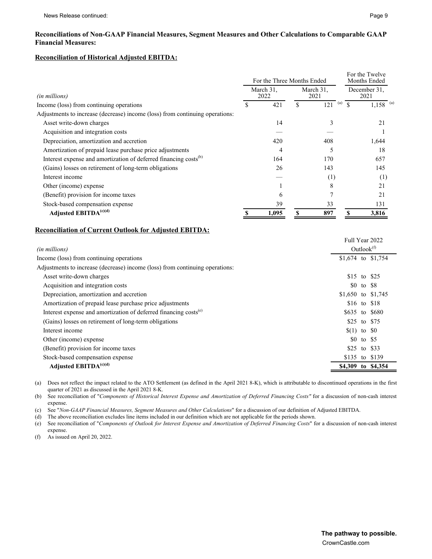### **Reconciliation of Historical Adjusted EBITDA:**

|                                                                              |  | For the Three Months Ended |    | For the Twelve<br>Months Ended |    |                        |  |
|------------------------------------------------------------------------------|--|----------------------------|----|--------------------------------|----|------------------------|--|
| (in millions)                                                                |  | March 31.<br>2022          |    | March 31.<br>2021              |    | December 31.<br>2021   |  |
| Income (loss) from continuing operations                                     |  | 421                        | \$ | (a)<br>121                     |    | $1,158$ <sup>(a)</sup> |  |
| Adjustments to increase (decrease) income (loss) from continuing operations: |  |                            |    |                                |    |                        |  |
| Asset write-down charges                                                     |  | 14                         |    |                                |    | 21                     |  |
| Acquisition and integration costs                                            |  |                            |    |                                |    |                        |  |
| Depreciation, amortization and accretion                                     |  | 420                        |    | 408                            |    | 1,644                  |  |
| Amortization of prepaid lease purchase price adjustments                     |  | 4                          |    |                                |    | 18                     |  |
| Interest expense and amortization of deferred financing costs <sup>(b)</sup> |  | 164                        |    | 170                            |    | 657                    |  |
| (Gains) losses on retirement of long-term obligations                        |  | 26                         |    | 143                            |    | 145                    |  |
| Interest income                                                              |  |                            |    | (1)                            |    | (1)                    |  |
| Other (income) expense                                                       |  |                            |    | 8                              |    | 21                     |  |
| (Benefit) provision for income taxes                                         |  | 6                          |    |                                |    | 21                     |  |
| Stock-based compensation expense                                             |  | 39                         |    | 33                             |    | 131                    |  |
| Adjusted EBITDA <sup>(c)(d)</sup>                                            |  | 1,095                      | S  | 897                            | \$ | 3,816                  |  |

### **Reconciliation of Current Outlook for Adjusted EBITDA:**

|                                                                              |                | Full Year 2022 |                    |
|------------------------------------------------------------------------------|----------------|----------------|--------------------|
| (in millions)                                                                |                | Outlook $(1)$  |                    |
| Income (loss) from continuing operations                                     |                |                | \$1,674 to \$1,754 |
| Adjustments to increase (decrease) income (loss) from continuing operations: |                |                |                    |
| Asset write-down charges                                                     |                |                | \$15 to \$25       |
| Acquisition and integration costs                                            |                | \$0 to \$8     |                    |
| Depreciation, amortization and accretion                                     |                |                | \$1,650 to \$1,745 |
| Amortization of prepaid lease purchase price adjustments                     |                |                | \$16 to \$18       |
| Interest expense and amortization of deferred financing costs <sup>(e)</sup> |                |                | \$635 to \$680     |
| (Gains) losses on retirement of long-term obligations                        |                |                | \$25 to \$75       |
| Interest income                                                              | $(1)$ to $\&0$ |                |                    |
| Other (income) expense                                                       |                | \$0 to \$5     |                    |
| (Benefit) provision for income taxes                                         |                |                | \$25 to \$33       |
| Stock-based compensation expense                                             |                |                | \$135 to \$139     |
| Adjusted EBITD $A^{(c)(d)}$                                                  |                |                | \$4,309 to \$4,354 |
|                                                                              |                |                |                    |

(a) Does not reflect the impact related to the ATO Settlement (as defined in the April 2021 8-K), which is attributable to discontinued operations in the first quarter of 2021 as discussed in the April 2021 8-K.

(b) See reconciliation of "*Components of Historical Interest Expense and Amortization of Deferred Financing Costs"* for a discussion of non-cash interest expense.

(c) See "*Non-GAAP Financial Measures, Segment Measures and Other Calculations*" for a discussion of our definition of Adjusted EBITDA.

(d) The above reconciliation excludes line items included in our definition which are not applicable for the periods shown.

(e) See reconciliation of "*Components of Outlook for Interest Expense and Amortization of Deferred Financing Costs*" for a discussion of non-cash interest expense.

(f) As issued on April 20, 2022.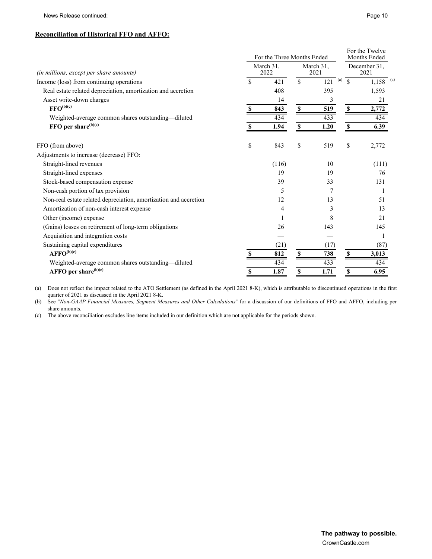#### **Reconciliation of Historical FFO and AFFO:**

|                                                                  | For the Three Months Ended |       |                   |            |                    | For the Twelve<br>Months Ended |
|------------------------------------------------------------------|----------------------------|-------|-------------------|------------|--------------------|--------------------------------|
| (in millions, except per share amounts)                          | March 31.<br>2022          |       | March 31,<br>2021 |            |                    | December 31.<br>2021           |
| Income (loss) from continuing operations                         | \$                         | 421   | $\mathbf S$       | (a)<br>121 | $\mathbf{\hat{S}}$ | $1,158$ <sup>(a)</sup>         |
| Real estate related depreciation, amortization and accretion     |                            | 408   |                   | 395        |                    | 1,593                          |
| Asset write-down charges                                         |                            | 14    |                   | 3          |                    | 21                             |
| $\mathbf{FFO}^{(\mathrm{b})(\mathrm{c})}$                        | S                          | 843   | \$                | 519        | <sup>\$</sup>      | 2,772                          |
| Weighted-average common shares outstanding-diluted               |                            | 434   |                   | 433        |                    | 434                            |
| FFO per share <sup>(b)(c)</sup>                                  | S                          | 1.94  | \$                | 1.20       | \$                 | 6.39                           |
| FFO (from above)                                                 | \$                         | 843   | \$                | 519        | \$                 | 2,772                          |
| Adjustments to increase (decrease) FFO:                          |                            |       |                   |            |                    |                                |
| Straight-lined revenues                                          |                            | (116) |                   | 10         |                    | (111)                          |
| Straight-lined expenses                                          |                            | 19    |                   | 19         |                    | 76                             |
| Stock-based compensation expense                                 |                            | 39    |                   | 33         |                    | 131                            |
| Non-cash portion of tax provision                                |                            | 5     |                   | 7          |                    |                                |
| Non-real estate related depreciation, amortization and accretion |                            | 12    |                   | 13         |                    | 51                             |
| Amortization of non-cash interest expense                        |                            | 4     |                   | 3          |                    | 13                             |
| Other (income) expense                                           |                            |       |                   | 8          |                    | 21                             |
| (Gains) losses on retirement of long-term obligations            |                            | 26    |                   | 143        |                    | 145                            |
| Acquisition and integration costs                                |                            |       |                   |            |                    |                                |
| Sustaining capital expenditures                                  |                            | (21)  |                   | (17)       |                    | (87)                           |
| $AFFO^{(b)(c)}$                                                  |                            | 812   | <sup>\$</sup>     | 738        | <b>S</b>           | 3,013                          |
| Weighted-average common shares outstanding-diluted               |                            | 434   |                   | 433        |                    | 434                            |
| AFFO per share $^{(b)(c)}$                                       | S                          | 1.87  | \$                | 1.71       | \$                 | 6.95                           |

(a) Does not reflect the impact related to the ATO Settlement (as defined in the April 2021 8-K), which is attributable to discontinued operations in the first quarter of 2021 as discussed in the April 2021 8-K.

(b) See "*Non-GAAP Financial Measures, Segment Measures and Other Calculations*" for a discussion of our definitions of FFO and AFFO, including per share amounts.

(c) The above reconciliation excludes line items included in our definition which are not applicable for the periods shown.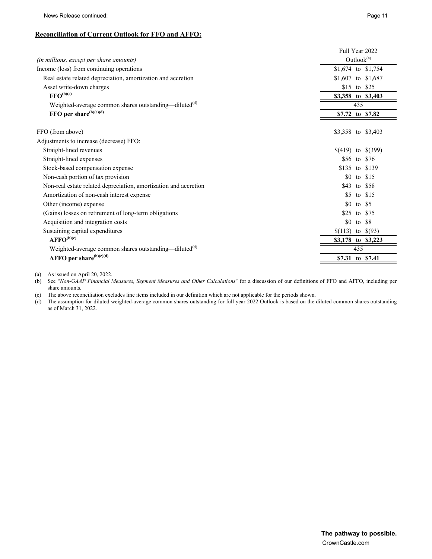News Release continued: Page 11

## **Reconciliation of Current Outlook for FFO and AFFO:**

| Outlook <sup>(a)</sup><br>\$1,674 to \$1,754<br>Real estate related depreciation, amortization and accretion<br>\$1,607 to \$1,687<br>Asset write-down charges<br>\$15 to \$25<br>$\text{FFO}^{(b)(c)}$<br>\$3,358 to \$3,403<br>Weighted-average common shares outstanding—diluted <sup>(d)</sup><br>435<br>FFO per share <sup>(b)(c)(d)</sup><br>\$7.72 to \$7.82<br>\$3,358 to \$3,403<br>Straight-lined revenues<br>$$(419)$ to $$(399)$<br>Straight-lined expenses<br>\$56 to \$76<br>Stock-based compensation expense<br>\$135 to \$139<br>Non-cash portion of tax provision<br>\$0<br>to $$15$<br>Non-real estate related depreciation, amortization and accretion<br>\$43<br>to \$58<br>Amortization of non-cash interest expense<br>\$5<br>to $$15$<br>\$0<br>Other (income) expense<br>to $$5$<br>(Gains) losses on retirement of long-term obligations<br>\$25<br>to \$75<br>Acquisition and integration costs<br>\$0<br>to \$8<br>$(113)$ to $(93)$<br>Sustaining capital expenditures<br>$AFFO^{(b)(c)}$<br>\$3,178 to \$3,223<br>Weighted-average common shares outstanding—diluted <sup>(d)</sup><br>435<br>AFFO per share $^{(b)(c)(d)}$<br>\$7.31 to \$7.41 |                                          | Full Year 2022 |
|------------------------------------------------------------------------------------------------------------------------------------------------------------------------------------------------------------------------------------------------------------------------------------------------------------------------------------------------------------------------------------------------------------------------------------------------------------------------------------------------------------------------------------------------------------------------------------------------------------------------------------------------------------------------------------------------------------------------------------------------------------------------------------------------------------------------------------------------------------------------------------------------------------------------------------------------------------------------------------------------------------------------------------------------------------------------------------------------------------------------------------------------------------------------------|------------------------------------------|----------------|
|                                                                                                                                                                                                                                                                                                                                                                                                                                                                                                                                                                                                                                                                                                                                                                                                                                                                                                                                                                                                                                                                                                                                                                              | (in millions, except per share amounts)  |                |
|                                                                                                                                                                                                                                                                                                                                                                                                                                                                                                                                                                                                                                                                                                                                                                                                                                                                                                                                                                                                                                                                                                                                                                              | Income (loss) from continuing operations |                |
|                                                                                                                                                                                                                                                                                                                                                                                                                                                                                                                                                                                                                                                                                                                                                                                                                                                                                                                                                                                                                                                                                                                                                                              |                                          |                |
|                                                                                                                                                                                                                                                                                                                                                                                                                                                                                                                                                                                                                                                                                                                                                                                                                                                                                                                                                                                                                                                                                                                                                                              |                                          |                |
|                                                                                                                                                                                                                                                                                                                                                                                                                                                                                                                                                                                                                                                                                                                                                                                                                                                                                                                                                                                                                                                                                                                                                                              |                                          |                |
|                                                                                                                                                                                                                                                                                                                                                                                                                                                                                                                                                                                                                                                                                                                                                                                                                                                                                                                                                                                                                                                                                                                                                                              |                                          |                |
|                                                                                                                                                                                                                                                                                                                                                                                                                                                                                                                                                                                                                                                                                                                                                                                                                                                                                                                                                                                                                                                                                                                                                                              |                                          |                |
|                                                                                                                                                                                                                                                                                                                                                                                                                                                                                                                                                                                                                                                                                                                                                                                                                                                                                                                                                                                                                                                                                                                                                                              | FFO (from above)                         |                |
|                                                                                                                                                                                                                                                                                                                                                                                                                                                                                                                                                                                                                                                                                                                                                                                                                                                                                                                                                                                                                                                                                                                                                                              | Adjustments to increase (decrease) FFO:  |                |
|                                                                                                                                                                                                                                                                                                                                                                                                                                                                                                                                                                                                                                                                                                                                                                                                                                                                                                                                                                                                                                                                                                                                                                              |                                          |                |
|                                                                                                                                                                                                                                                                                                                                                                                                                                                                                                                                                                                                                                                                                                                                                                                                                                                                                                                                                                                                                                                                                                                                                                              |                                          |                |
|                                                                                                                                                                                                                                                                                                                                                                                                                                                                                                                                                                                                                                                                                                                                                                                                                                                                                                                                                                                                                                                                                                                                                                              |                                          |                |
|                                                                                                                                                                                                                                                                                                                                                                                                                                                                                                                                                                                                                                                                                                                                                                                                                                                                                                                                                                                                                                                                                                                                                                              |                                          |                |
|                                                                                                                                                                                                                                                                                                                                                                                                                                                                                                                                                                                                                                                                                                                                                                                                                                                                                                                                                                                                                                                                                                                                                                              |                                          |                |
|                                                                                                                                                                                                                                                                                                                                                                                                                                                                                                                                                                                                                                                                                                                                                                                                                                                                                                                                                                                                                                                                                                                                                                              |                                          |                |
|                                                                                                                                                                                                                                                                                                                                                                                                                                                                                                                                                                                                                                                                                                                                                                                                                                                                                                                                                                                                                                                                                                                                                                              |                                          |                |
|                                                                                                                                                                                                                                                                                                                                                                                                                                                                                                                                                                                                                                                                                                                                                                                                                                                                                                                                                                                                                                                                                                                                                                              |                                          |                |
|                                                                                                                                                                                                                                                                                                                                                                                                                                                                                                                                                                                                                                                                                                                                                                                                                                                                                                                                                                                                                                                                                                                                                                              |                                          |                |
|                                                                                                                                                                                                                                                                                                                                                                                                                                                                                                                                                                                                                                                                                                                                                                                                                                                                                                                                                                                                                                                                                                                                                                              |                                          |                |
|                                                                                                                                                                                                                                                                                                                                                                                                                                                                                                                                                                                                                                                                                                                                                                                                                                                                                                                                                                                                                                                                                                                                                                              |                                          |                |
|                                                                                                                                                                                                                                                                                                                                                                                                                                                                                                                                                                                                                                                                                                                                                                                                                                                                                                                                                                                                                                                                                                                                                                              |                                          |                |
|                                                                                                                                                                                                                                                                                                                                                                                                                                                                                                                                                                                                                                                                                                                                                                                                                                                                                                                                                                                                                                                                                                                                                                              |                                          |                |

(a) As issued on April 20, 2022.

(b) See "*Non-GAAP Financial Measures, Segment Measures and Other Calculations*" for a discussion of our definitions of FFO and AFFO, including per share amounts.

(c) The above reconciliation excludes line items included in our definition which are not applicable for the periods shown.

(d) The assumption for diluted weighted-average common shares outstanding for full year 2022 Outlook is based on the diluted common shares outstanding as of March 31, 2022.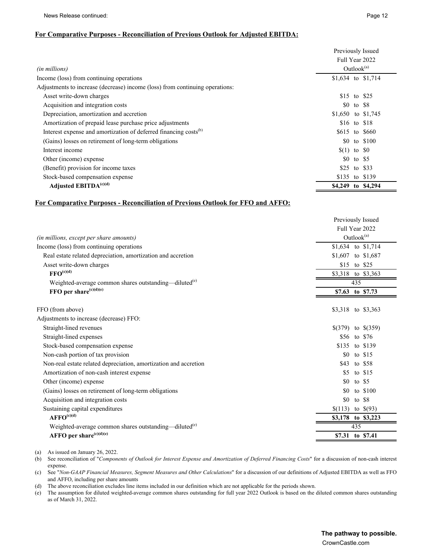#### **For Comparative Purposes - Reconciliation of Previous Outlook for Adjusted EBITDA:**

|                                                                              | Previously Issued  |            |                    |
|------------------------------------------------------------------------------|--------------------|------------|--------------------|
|                                                                              | Full Year 2022     |            |                    |
| <i>(in millions)</i>                                                         | Outlook $^{(a)}$   |            |                    |
| Income (loss) from continuing operations                                     |                    |            | \$1,634 to \$1,714 |
| Adjustments to increase (decrease) income (loss) from continuing operations: |                    |            |                    |
| Asset write-down charges                                                     | \$15 to \$25       |            |                    |
| Acquisition and integration costs                                            |                    | \$0 to \$8 |                    |
| Depreciation, amortization and accretion                                     | \$1,650 to \$1,745 |            |                    |
| Amortization of prepaid lease purchase price adjustments                     |                    |            | \$16 to \$18       |
| Interest expense and amortization of deferred financing costs <sup>(b)</sup> | \$615 to \$660     |            |                    |
| (Gains) losses on retirement of long-term obligations                        |                    |            | \$0 to \$100       |
| Interest income                                                              | $(1)$ to $\&0$     |            |                    |
| Other (income) expense                                                       |                    | \$0 to \$5 |                    |
| (Benefit) provision for income taxes                                         | \$25 to \$33       |            |                    |
| Stock-based compensation expense                                             | \$135 to \$139     |            |                    |
| Adjusted EBITDA <sup>(c)(d)</sup>                                            | \$4,249 to \$4,294 |            |                    |

### **For Comparative Purposes - Reconciliation of Previous Outlook for FFO and AFFO:**

|                                                                   | Previously Issued |                        |  |  |
|-------------------------------------------------------------------|-------------------|------------------------|--|--|
|                                                                   | Full Year 2022    |                        |  |  |
| <i>(in millions, except per share amounts)</i>                    |                   | Outlook <sup>(a)</sup> |  |  |
| Income (loss) from continuing operations                          |                   | \$1,634 to \$1,714     |  |  |
| Real estate related depreciation, amortization and accretion      |                   | \$1,607 to \$1,687     |  |  |
| Asset write-down charges                                          |                   | \$15 to \$25           |  |  |
| $\text{FFO}^{(c)(d)}$                                             |                   | \$3,318 to \$3,363     |  |  |
| Weighted-average common shares outstanding—diluted <sup>(e)</sup> |                   | 435                    |  |  |
| FFO per share $(c)(d)(e)$                                         |                   | \$7.63 to \$7.73       |  |  |
|                                                                   |                   |                        |  |  |
| FFO (from above)                                                  |                   | \$3,318 to \$3,363     |  |  |
| Adjustments to increase (decrease) FFO:                           |                   |                        |  |  |
| Straight-lined revenues                                           |                   | $$(379)$ to $$(359)$   |  |  |
| Straight-lined expenses                                           |                   | \$56 to \$76           |  |  |
| Stock-based compensation expense                                  |                   | \$135 to \$139         |  |  |
| Non-cash portion of tax provision                                 | \$0               | to $$15$               |  |  |
| Non-real estate related depreciation, amortization and accretion  | \$43              | to \$58                |  |  |
| Amortization of non-cash interest expense                         | \$5               | to $$15$               |  |  |
| Other (income) expense                                            | \$0               | to $$5$                |  |  |
| (Gains) losses on retirement of long-term obligations             | \$0               | to $$100$              |  |  |
| Acquisition and integration costs                                 | \$0               | to \$8                 |  |  |
| Sustaining capital expenditures                                   | \$(113)           | to $\$(93)$            |  |  |
| $AFFO^{(c)(d)}$                                                   |                   | \$3,178 to \$3,223     |  |  |
| Weighted-average common shares outstanding—diluted <sup>(e)</sup> |                   | 435                    |  |  |
| AFFO per share $(c)(d)(e)$                                        | \$7.31            | to \$7.41              |  |  |

(a) As issued on January 26, 2022.

(b) See reconciliation of "*Components of Outlook for Interest Expense and Amortization of Deferred Financing Costs*" for a discussion of non-cash interest expense.

(c) See "*Non-GAAP Financial Measures, Segment Measures and Other Calculations*" for a discussion of our definitions of Adjusted EBITDA as well as FFO and AFFO, including per share amounts

(d) The above reconciliation excludes line items included in our definition which are not applicable for the periods shown.

(e) The assumption for diluted weighted-average common shares outstanding for full year 2022 Outlook is based on the diluted common shares outstanding as of March 31, 2022.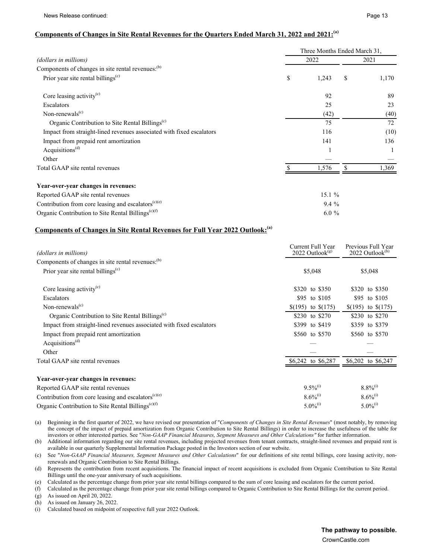## **Components of Changes in Site Rental Revenues for the Quarters Ended March 31, 2022 and 2021: (a)**

|                                                                      | Three Months Ended March 31, |         |    |       |  |  |
|----------------------------------------------------------------------|------------------------------|---------|----|-------|--|--|
| (dollars in millions)                                                |                              | 2022    |    | 2021  |  |  |
| Components of changes in site rental revenues: <sup>(b)</sup>        |                              |         |    |       |  |  |
| Prior year site rental billings <sup>(c)</sup>                       | \$                           | 1,243   | \$ | 1,170 |  |  |
| Core leasing activity $(c)$                                          |                              | 92      |    | 89    |  |  |
| Escalators                                                           |                              | 25      |    | 23    |  |  |
| Non-renewals $(c)$                                                   |                              | (42)    |    | (40)  |  |  |
| Organic Contribution to Site Rental Billings <sup>(c)</sup>          |                              | 75      |    | 72    |  |  |
| Impact from straight-lined revenues associated with fixed escalators |                              | 116     |    | (10)  |  |  |
| Impact from prepaid rent amortization                                |                              | 141     |    | 136   |  |  |
| Acquisitions <sup><math>(d)</math></sup>                             |                              |         |    |       |  |  |
| Other                                                                |                              |         |    |       |  |  |
| Total GAAP site rental revenues                                      |                              | 1,576   |    | 1,369 |  |  |
| Year-over-year changes in revenues:                                  |                              |         |    |       |  |  |
| Reported GAAP site rental revenues                                   |                              | 15.1%   |    |       |  |  |
| Contribution from core leasing and escalators $(c)(e)$               |                              | $9.4\%$ |    |       |  |  |
| Organic Contribution to Site Rental Billings <sup>(c)(f)</sup>       |                              | $6.0\%$ |    |       |  |  |

## **Components of Changes in Site Rental Revenues for Full Year 2022 Outlook:(a)**

| (dollars in millions)                                                | Current Full Year<br>$2022$ Outlook <sup>(g)</sup> | Previous Full Year<br>$2022$ Outlook <sup>(h)</sup> |
|----------------------------------------------------------------------|----------------------------------------------------|-----------------------------------------------------|
| Components of changes in site rental revenues: <sup>(b)</sup>        |                                                    |                                                     |
| Prior year site rental billings <sup>(c)</sup>                       | \$5,048                                            | \$5,048                                             |
| Core leasing activity $(c)$                                          | \$320 to \$350                                     | \$320 to \$350                                      |
| Escalators                                                           | \$95 to \$105                                      | \$95 to \$105                                       |
| Non-renewals <sup>(c)</sup>                                          | $(195)$ to $(175)$                                 | $(195)$ to $(175)$                                  |
| Organic Contribution to Site Rental Billings <sup>(c)</sup>          | \$230 to \$270                                     | \$230 to \$270                                      |
| Impact from straight-lined revenues associated with fixed escalators | \$399 to \$419                                     | \$359 to \$379                                      |
| Impact from prepaid rent amortization                                | \$560 to \$570                                     | \$560 to \$570                                      |
| Acquisitions <sup><math>(d)</math></sup>                             |                                                    |                                                     |
| Other                                                                |                                                    |                                                     |
| Total GAAP site rental revenues                                      | \$6,242 to \$6,287                                 | \$6,202 to \$6,247                                  |
| Year-over-year changes in revenues:                                  |                                                    |                                                     |
| Reported GAAP site rental revenues                                   | $9.5\%^{(i)}$                                      | $8.8\%^{(i)}$                                       |
| Contribution from core leasing and escalators $(c)(e)$               | $8.6\%^{(1)}$                                      | $8.6\%^{(1)}$                                       |
| Organic Contribution to Site Rental Billings <sup>(c)(f)</sup>       | $5.0\%^{(i)}$                                      | $5.0\%^{(i)}$                                       |

(a) Beginning in the first quarter of 2022, we have revised our presentation of "*Components of Changes in Site Rental Revenues*" (most notably, by removing

the concept of the impact of prepaid amortization from Organic Contribution to Site Rental Billings) in order to increase the usefulness of the table for investors or other interested parties. See "*Non-GAAP Financial Measures, Segment Measures and Other Calculations"* for further information.

(b) Additional information regarding our site rental revenues, including projected revenues from tenant contracts, straight-lined revenues and prepaid rent is available in our quarterly Supplemental Information Package posted in the Investors section of our website.

(c) See "*Non-GAAP Financial Measures, Segment Measures and Other Calculations*" for our definitions of site rental billings, core leasing activity, nonrenewals and Organic Contribution to Site Rental Billings.

(d) Represents the contribution from recent acquisitions. The financial impact of recent acquisitions is excluded from Organic Contribution to Site Rental Billings until the one-year anniversary of such acquisitions.

(e) Calculated as the percentage change from prior year site rental billings compared to the sum of core leasing and escalators for the current period.

(f) Calculated as the percentage change from prior year site rental billings compared to Organic Contribution to Site Rental Billings for the current period. (g) As issued on April 20, 2022.

(h) As issued on January 26, 2022.

(i) Calculated based on midpoint of respective full year 2022 Outlook.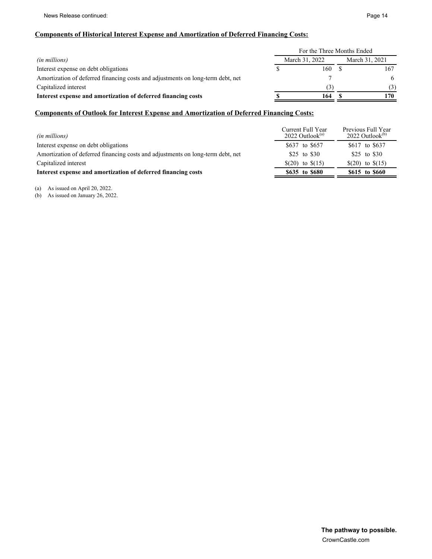## **Components of Historical Interest Expense and Amortization of Deferred Financing Costs:**

|                                                                                 | For the Three Months Ended |                |     |  |  |
|---------------------------------------------------------------------------------|----------------------------|----------------|-----|--|--|
| <i>(in millions)</i>                                                            | March 31, 2022             | March 31, 2021 |     |  |  |
| Interest expense on debt obligations                                            | 160.                       |                |     |  |  |
| Amortization of deferred financing costs and adjustments on long-term debt, net |                            |                | 6   |  |  |
| Capitalized interest                                                            |                            |                | (3) |  |  |
| Interest expense and amortization of deferred financing costs                   | 164                        |                | 170 |  |  |

## **Components of Outlook for Interest Expense and Amortization of Deferred Financing Costs:**

| <i>(in millions)</i>                                                            | Current Full Year<br>$2022$ Outlook <sup>(a)</sup> | Previous Full Year<br>$2022$ Outlook <sup>(b)</sup> |
|---------------------------------------------------------------------------------|----------------------------------------------------|-----------------------------------------------------|
| Interest expense on debt obligations                                            | \$637 to \$657                                     | \$617 to \$637                                      |
| Amortization of deferred financing costs and adjustments on long-term debt, net | \$25 to \$30                                       | \$25 to \$30                                        |
| Capitalized interest                                                            | $(20)$ to $(15)$                                   | $(20)$ to $(15)$                                    |
| Interest expense and amortization of deferred financing costs                   | \$635 to \$680                                     | \$615 to \$660                                      |

(a) As issued on April 20, 2022.

(b) As issued on January 26, 2022.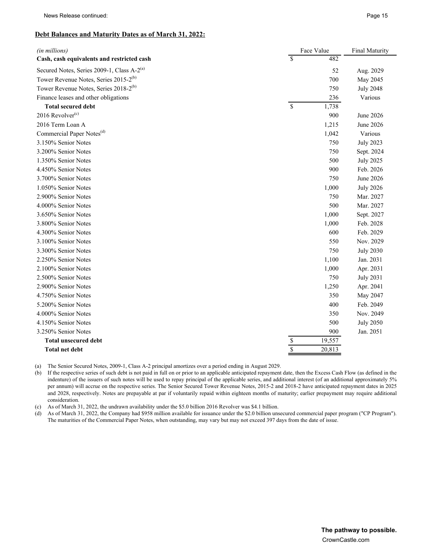#### **Debt Balances and Maturity Dates as of March 31, 2022:**

| (in millions)                                          | Face Value  | <b>Final Maturity</b> |                  |
|--------------------------------------------------------|-------------|-----------------------|------------------|
| Cash, cash equivalents and restricted cash             | \$          | 482                   |                  |
| Secured Notes, Series 2009-1, Class A-2 <sup>(a)</sup> |             | 52                    | Aug. 2029        |
| Tower Revenue Notes, Series 2015-2 <sup>(b)</sup>      |             | 700                   | May 2045         |
| Tower Revenue Notes, Series 2018-2 <sup>(b)</sup>      |             | 750                   | <b>July 2048</b> |
| Finance leases and other obligations                   |             | 236                   | Various          |
| <b>Total secured debt</b>                              | \$          | 1,738                 |                  |
| 2016 Revolver $(c)$                                    |             | 900                   | June 2026        |
| 2016 Term Loan A                                       |             | 1,215                 | June 2026        |
| Commercial Paper Notes <sup>(d)</sup>                  |             | 1,042                 | Various          |
| 3.150% Senior Notes                                    |             | 750                   | <b>July 2023</b> |
| 3.200% Senior Notes                                    |             | 750                   | Sept. 2024       |
| 1.350% Senior Notes                                    |             | 500                   | <b>July 2025</b> |
| 4.450% Senior Notes                                    |             | 900                   | Feb. 2026        |
| 3.700% Senior Notes                                    |             | 750                   | June 2026        |
| 1.050% Senior Notes                                    |             | 1,000                 | <b>July 2026</b> |
| 2.900% Senior Notes                                    |             | 750                   | Mar. 2027        |
| 4.000% Senior Notes                                    |             | 500                   | Mar. 2027        |
| 3.650% Senior Notes                                    |             | 1,000                 | Sept. 2027       |
| 3.800% Senior Notes                                    |             | 1,000                 | Feb. 2028        |
| 4.300% Senior Notes                                    |             | 600                   | Feb. 2029        |
| 3.100% Senior Notes                                    |             | 550                   | Nov. 2029        |
| 3.300% Senior Notes                                    |             | 750                   | <b>July 2030</b> |
| 2.250% Senior Notes                                    |             | 1,100                 | Jan. 2031        |
| 2.100% Senior Notes                                    |             | 1,000                 | Apr. 2031        |
| 2.500% Senior Notes                                    |             | 750                   | <b>July 2031</b> |
| 2.900% Senior Notes                                    |             | 1,250                 | Apr. 2041        |
| 4.750% Senior Notes                                    |             | 350                   | May 2047         |
| 5.200% Senior Notes                                    |             | 400                   | Feb. 2049        |
| 4.000% Senior Notes                                    |             | 350                   | Nov. 2049        |
| 4.150% Senior Notes                                    |             | 500                   | <b>July 2050</b> |
| 3.250% Senior Notes                                    |             | 900                   | Jan. 2051        |
| <b>Total unsecured debt</b>                            |             | 19,557                |                  |
| <b>Total net debt</b>                                  | $rac{1}{3}$ | 20,813                |                  |

(a) The Senior Secured Notes, 2009-1, Class A-2 principal amortizes over a period ending in August 2029.

(b) If the respective series of such debt is not paid in full on or prior to an applicable anticipated repayment date, then the Excess Cash Flow (as defined in the indenture) of the issuers of such notes will be used to repay principal of the applicable series, and additional interest (of an additional approximately 5% per annum) will accrue on the respective series. The Senior Secured Tower Revenue Notes, 2015-2 and 2018-2 have anticipated repayment dates in 2025 and 2028, respectively. Notes are prepayable at par if voluntarily repaid within eighteen months of maturity; earlier prepayment may require additional consideration.

(c) As of March 31, 2022, the undrawn availability under the \$5.0 billion 2016 Revolver was \$4.1 billion.

(d) As of March 31, 2022, the Company had \$958 million available for issuance under the \$2.0 billion unsecured commercial paper program ("CP Program"). The maturities of the Commercial Paper Notes, when outstanding, may vary but may not exceed 397 days from the date of issue.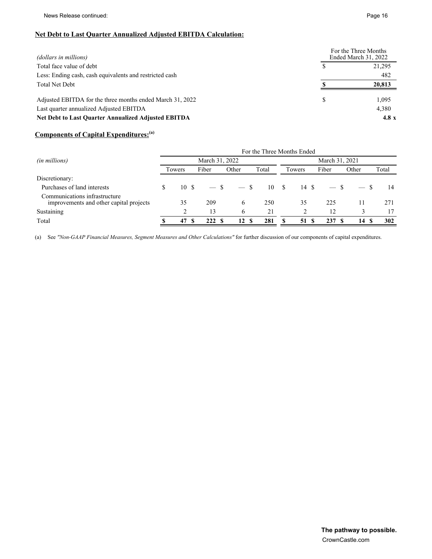## **Net Debt to Last Quarter Annualized Adjusted EBITDA Calculation:**

| (dollars in millions)                                                                                |   | For the Three Months<br>Ended March 31, 2022 |
|------------------------------------------------------------------------------------------------------|---|----------------------------------------------|
| Total face value of debt                                                                             |   | 21,295                                       |
| Less: Ending cash, cash equivalents and restricted cash                                              |   | 482                                          |
| <b>Total Net Debt</b>                                                                                |   | 20,813                                       |
| Adjusted EBITDA for the three months ended March 31, 2022<br>Last quarter annualized Adjusted EBITDA | S | 1,095<br>4,380                               |
| Net Debt to Last Quarter Annualized Adjusted EBITDA                                                  |   | 4.8 $x$                                      |

## **Components of Capital Expenditures:(a)**

|                                                                          | For the Three Months Ended |        |  |        |        |       |      |                 |                |       |       |  |  |
|--------------------------------------------------------------------------|----------------------------|--------|--|--------|--------|-------|------|-----------------|----------------|-------|-------|--|--|
| (in millions)                                                            | March 31, 2022             |        |  |        |        |       |      |                 | March 31, 2021 |       |       |  |  |
|                                                                          |                            | Towers |  | Fiber  | Other  | Total |      | Fiber<br>Towers |                | Other | Total |  |  |
| Discretionary:                                                           |                            |        |  |        |        |       |      |                 |                |       |       |  |  |
| Purchases of land interests                                              | S                          | 10S    |  | $-$ \$ | $-$ \$ |       | 10 S | 14 S            |                |       | 14    |  |  |
| Communications infrastructure<br>improvements and other capital projects |                            | 35     |  | 209    | 6      | 250   |      | 35              | 225            | 11    | 271   |  |  |
| Sustaining                                                               |                            |        |  | 13     | 6      | 21    |      |                 | 12             |       | 17    |  |  |
| Total                                                                    |                            | 47     |  | 222S   | 12S    | 281   |      | 51              | 237<br>-8      | 14    | 302   |  |  |

(a) See *"Non-GAAP Financial Measures, Segment Measures and Other Calculations"* for further discussion of our components of capital expenditures.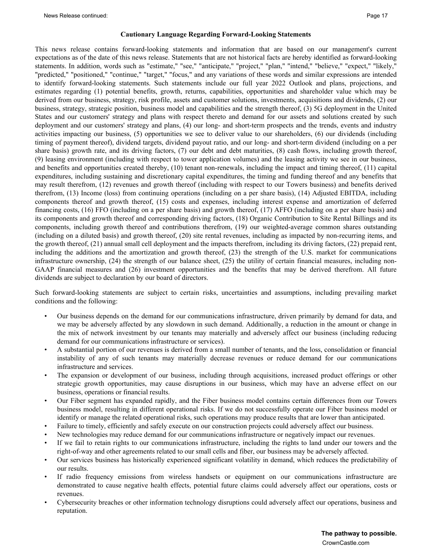#### **Cautionary Language Regarding Forward-Looking Statements**

This news release contains forward-looking statements and information that are based on our management's current expectations as of the date of this news release. Statements that are not historical facts are hereby identified as forward-looking statements. In addition, words such as "estimate," "see," "anticipate," "project," "plan," "intend," "believe," "expect," "likely," "predicted," "positioned," "continue," "target," "focus," and any variations of these words and similar expressions are intended to identify forward-looking statements. Such statements include our full year 2022 Outlook and plans, projections, and estimates regarding (1) potential benefits, growth, returns, capabilities, opportunities and shareholder value which may be derived from our business, strategy, risk profile, assets and customer solutions, investments, acquisitions and dividends, (2) our business, strategy, strategic position, business model and capabilities and the strength thereof, (3) 5G deployment in the United States and our customers' strategy and plans with respect thereto and demand for our assets and solutions created by such deployment and our customers' strategy and plans, (4) our long- and short-term prospects and the trends, events and industry activities impacting our business, (5) opportunities we see to deliver value to our shareholders, (6) our dividends (including timing of payment thereof), dividend targets, dividend payout ratio, and our long- and short-term dividend (including on a per share basis) growth rate, and its driving factors, (7) our debt and debt maturities, (8) cash flows, including growth thereof, (9) leasing environment (including with respect to tower application volumes) and the leasing activity we see in our business, and benefits and opportunities created thereby, (10) tenant non-renewals, including the impact and timing thereof, (11) capital expenditures, including sustaining and discretionary capital expenditures, the timing and funding thereof and any benefits that may result therefrom, (12) revenues and growth thereof (including with respect to our Towers business) and benefits derived therefrom, (13) Income (loss) from continuing operations (including on a per share basis), (14) Adjusted EBITDA, including components thereof and growth thereof, (15) costs and expenses, including interest expense and amortization of deferred financing costs, (16) FFO (including on a per share basis) and growth thereof, (17) AFFO (including on a per share basis) and its components and growth thereof and corresponding driving factors, (18) Organic Contribution to Site Rental Billings and its components, including growth thereof and contributions therefrom, (19) our weighted-average common shares outstanding (including on a diluted basis) and growth thereof, (20) site rental revenues, including as impacted by non-recurring items, and the growth thereof, (21) annual small cell deployment and the impacts therefrom, including its driving factors, (22) prepaid rent, including the additions and the amortization and growth thereof, (23) the strength of the U.S. market for communications infrastructure ownership, (24) the strength of our balance sheet, (25) the utility of certain financial measures, including non-GAAP financial measures and (26) investment opportunities and the benefits that may be derived therefrom. All future dividends are subject to declaration by our board of directors.

Such forward-looking statements are subject to certain risks, uncertainties and assumptions, including prevailing market conditions and the following:

- Our business depends on the demand for our communications infrastructure, driven primarily by demand for data, and we may be adversely affected by any slowdown in such demand. Additionally, a reduction in the amount or change in the mix of network investment by our tenants may materially and adversely affect our business (including reducing demand for our communications infrastructure or services).
- A substantial portion of our revenues is derived from a small number of tenants, and the loss, consolidation or financial instability of any of such tenants may materially decrease revenues or reduce demand for our communications infrastructure and services.
- The expansion or development of our business, including through acquisitions, increased product offerings or other strategic growth opportunities, may cause disruptions in our business, which may have an adverse effect on our business, operations or financial results.
- Our Fiber segment has expanded rapidly, and the Fiber business model contains certain differences from our Towers business model, resulting in different operational risks. If we do not successfully operate our Fiber business model or identify or manage the related operational risks, such operations may produce results that are lower than anticipated.
- Failure to timely, efficiently and safely execute on our construction projects could adversely affect our business.
- New technologies may reduce demand for our communications infrastructure or negatively impact our revenues.
- If we fail to retain rights to our communications infrastructure, including the rights to land under our towers and the right-of-way and other agreements related to our small cells and fiber, our business may be adversely affected.
- Our services business has historically experienced significant volatility in demand, which reduces the predictability of our results.
- If radio frequency emissions from wireless handsets or equipment on our communications infrastructure are demonstrated to cause negative health effects, potential future claims could adversely affect our operations, costs or revenues.
- Cybersecurity breaches or other information technology disruptions could adversely affect our operations, business and reputation.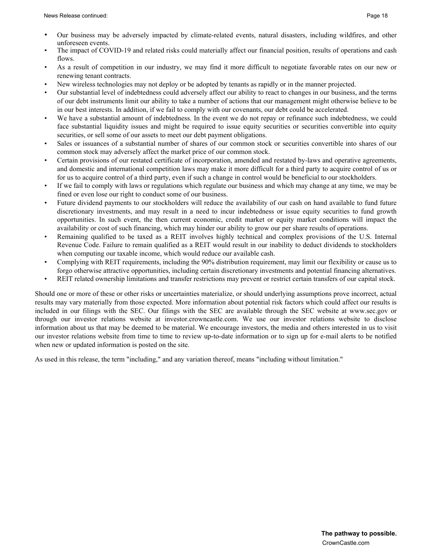- Our business may be adversely impacted by climate-related events, natural disasters, including wildfires, and other unforeseen events.
- The impact of COVID-19 and related risks could materially affect our financial position, results of operations and cash flows.
- As a result of competition in our industry, we may find it more difficult to negotiate favorable rates on our new or renewing tenant contracts.
- New wireless technologies may not deploy or be adopted by tenants as rapidly or in the manner projected.
- Our substantial level of indebtedness could adversely affect our ability to react to changes in our business, and the terms of our debt instruments limit our ability to take a number of actions that our management might otherwise believe to be in our best interests. In addition, if we fail to comply with our covenants, our debt could be accelerated.
- We have a substantial amount of indebtedness. In the event we do not repay or refinance such indebtedness, we could face substantial liquidity issues and might be required to issue equity securities or securities convertible into equity securities, or sell some of our assets to meet our debt payment obligations.
- Sales or issuances of a substantial number of shares of our common stock or securities convertible into shares of our common stock may adversely affect the market price of our common stock.
- Certain provisions of our restated certificate of incorporation, amended and restated by-laws and operative agreements, and domestic and international competition laws may make it more difficult for a third party to acquire control of us or for us to acquire control of a third party, even if such a change in control would be beneficial to our stockholders.
- If we fail to comply with laws or regulations which regulate our business and which may change at any time, we may be fined or even lose our right to conduct some of our business.
- Future dividend payments to our stockholders will reduce the availability of our cash on hand available to fund future discretionary investments, and may result in a need to incur indebtedness or issue equity securities to fund growth opportunities. In such event, the then current economic, credit market or equity market conditions will impact the availability or cost of such financing, which may hinder our ability to grow our per share results of operations.
- Remaining qualified to be taxed as a REIT involves highly technical and complex provisions of the U.S. Internal Revenue Code. Failure to remain qualified as a REIT would result in our inability to deduct dividends to stockholders when computing our taxable income, which would reduce our available cash.
- Complying with REIT requirements, including the 90% distribution requirement, may limit our flexibility or cause us to forgo otherwise attractive opportunities, including certain discretionary investments and potential financing alternatives.
- REIT related ownership limitations and transfer restrictions may prevent or restrict certain transfers of our capital stock.

Should one or more of these or other risks or uncertainties materialize, or should underlying assumptions prove incorrect, actual results may vary materially from those expected. More information about potential risk factors which could affect our results is included in our filings with the SEC. Our filings with the SEC are available through the SEC website at www.sec.gov or through our investor relations website at investor.crowncastle.com. We use our investor relations website to disclose information about us that may be deemed to be material. We encourage investors, the media and others interested in us to visit our investor relations website from time to time to review up-to-date information or to sign up for e-mail alerts to be notified when new or updated information is posted on the site.

As used in this release, the term "including," and any variation thereof, means "including without limitation."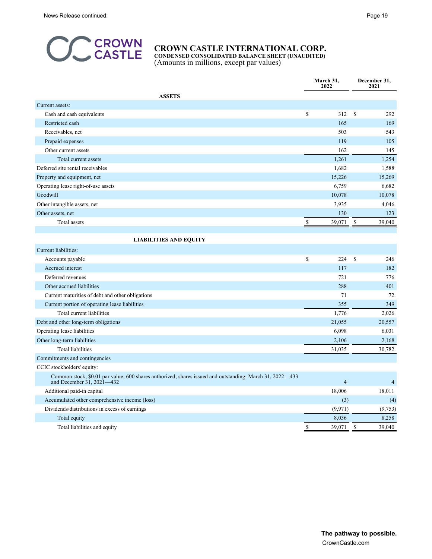

**CONDENSED CONSOLIDATED BALANCE SHEET (UNAUDITED)** (Amounts in millions, except par values)

|                                                                                                                                       |               | March 31,<br>2022 | December 31,<br>2021 |                |  |
|---------------------------------------------------------------------------------------------------------------------------------------|---------------|-------------------|----------------------|----------------|--|
| <b>ASSETS</b>                                                                                                                         |               |                   |                      |                |  |
| Current assets:                                                                                                                       |               |                   |                      |                |  |
| Cash and cash equivalents                                                                                                             | \$            | 312               | \$                   | 292            |  |
| Restricted cash                                                                                                                       |               | 165               |                      | 169            |  |
| Receivables, net                                                                                                                      |               | 503               |                      | 543            |  |
| Prepaid expenses                                                                                                                      |               | 119               |                      | 105            |  |
| Other current assets                                                                                                                  |               | 162               |                      | 145            |  |
| Total current assets                                                                                                                  |               | 1,261             |                      | 1,254          |  |
| Deferred site rental receivables                                                                                                      |               | 1,682             |                      | 1,588          |  |
| Property and equipment, net                                                                                                           |               | 15,226            |                      | 15,269         |  |
| Operating lease right-of-use assets                                                                                                   |               | 6,759             |                      | 6,682          |  |
| Goodwill                                                                                                                              |               | 10,078            |                      | 10,078         |  |
| Other intangible assets, net                                                                                                          |               | 3,935             |                      | 4,046          |  |
| Other assets, net                                                                                                                     |               | 130               |                      | 123            |  |
| Total assets                                                                                                                          | S             | 39,071            | \$                   | 39,040         |  |
|                                                                                                                                       |               |                   |                      |                |  |
| <b>LIABILITIES AND EQUITY</b>                                                                                                         |               |                   |                      |                |  |
| Current liabilities:                                                                                                                  |               |                   |                      |                |  |
| Accounts payable                                                                                                                      | $\mathbb{S}$  | 224               | $\mathbf S$          | 246            |  |
| Accrued interest                                                                                                                      |               | 117               |                      | 182            |  |
| Deferred revenues                                                                                                                     |               | 721               |                      | 776            |  |
| Other accrued liabilities                                                                                                             |               | 288               |                      | 401            |  |
| Current maturities of debt and other obligations                                                                                      |               | 71                |                      | 72             |  |
| Current portion of operating lease liabilities                                                                                        |               | 355               |                      | 349            |  |
| Total current liabilities                                                                                                             |               | 1,776             |                      | 2,026          |  |
| Debt and other long-term obligations                                                                                                  |               | 21,055            |                      | 20,557         |  |
| Operating lease liabilities                                                                                                           |               | 6,098             |                      | 6,031          |  |
| Other long-term liabilities                                                                                                           |               | 2,106             |                      | 2,168          |  |
| <b>Total liabilities</b>                                                                                                              |               | 31,035            |                      | 30,782         |  |
| Commitments and contingencies                                                                                                         |               |                   |                      |                |  |
| CCIC stockholders' equity:                                                                                                            |               |                   |                      |                |  |
| Common stock, \$0.01 par value; 600 shares authorized; shares issued and outstanding: March 31, 2022-433<br>and December 31, 2021–432 |               | $\overline{4}$    |                      | $\overline{4}$ |  |
| Additional paid-in capital                                                                                                            |               | 18,006            |                      | 18,011         |  |
| Accumulated other comprehensive income (loss)                                                                                         |               | (3)               |                      | (4)            |  |
| Dividends/distributions in excess of earnings                                                                                         |               | (9,971)           |                      | (9,753)        |  |
| Total equity                                                                                                                          |               | 8,036             |                      | 8,258          |  |
| Total liabilities and equity                                                                                                          | <sup>\$</sup> | 39,071            | \$                   | 39,040         |  |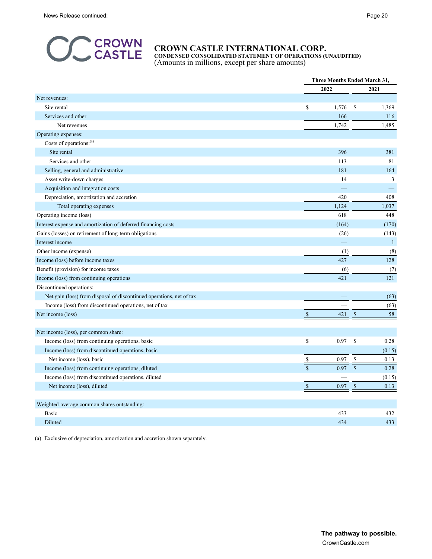

**CONDENSED CONSOLIDATED STATEMENT OF OPERATIONS (UNAUDITED)** (Amounts in millions, except per share amounts)

|                                                                      |                            | <b>Three Months Ended March 31,</b> |              |  |
|----------------------------------------------------------------------|----------------------------|-------------------------------------|--------------|--|
|                                                                      | 2022                       |                                     | 2021         |  |
| Net revenues:                                                        |                            |                                     |              |  |
| Site rental                                                          | \$<br>1,576                | \$                                  | 1,369        |  |
| Services and other                                                   |                            | 166                                 | 116          |  |
| Net revenues                                                         | 1,742                      |                                     | 1,485        |  |
| Operating expenses:                                                  |                            |                                     |              |  |
| Costs of operations: <sup>(a)</sup>                                  |                            |                                     |              |  |
| Site rental                                                          |                            | 396                                 | 381          |  |
| Services and other                                                   |                            | 113                                 | 81           |  |
| Selling, general and administrative                                  |                            | 181                                 | 164          |  |
| Asset write-down charges                                             |                            | 14                                  | 3            |  |
| Acquisition and integration costs                                    |                            |                                     |              |  |
| Depreciation, amortization and accretion                             |                            | 420                                 | 408          |  |
| Total operating expenses                                             | 1,124                      |                                     | 1,037        |  |
| Operating income (loss)                                              |                            | 618                                 | 448          |  |
| Interest expense and amortization of deferred financing costs        |                            | (164)                               | (170)        |  |
| Gains (losses) on retirement of long-term obligations                |                            | (26)                                | (143)        |  |
| Interest income                                                      |                            |                                     | $\mathbf{1}$ |  |
| Other income (expense)                                               |                            | (1)                                 | (8)          |  |
| Income (loss) before income taxes                                    |                            | 427                                 | 128          |  |
| Benefit (provision) for income taxes                                 |                            | (6)                                 | (7)          |  |
| Income (loss) from continuing operations                             |                            | 421                                 | 121          |  |
| Discontinued operations:                                             |                            |                                     |              |  |
| Net gain (loss) from disposal of discontinued operations, net of tax |                            |                                     | (63)         |  |
| Income (loss) from discontinued operations, net of tax               |                            |                                     | (63)         |  |
| Net income (loss)                                                    | $\mathbb{S}$               | $\mathbb{S}$<br>421                 | 58           |  |
|                                                                      |                            |                                     |              |  |
| Net income (loss), per common share:                                 |                            |                                     |              |  |
| Income (loss) from continuing operations, basic                      | $\mathbb{S}$<br>0.97       | \$                                  | 0.28         |  |
| Income (loss) from discontinued operations, basic                    |                            |                                     | (0.15)       |  |
| Net income (loss), basic                                             | \$<br>0.97                 | \$                                  | 0.13         |  |
| Income (loss) from continuing operations, diluted                    | $\hat{\mathbf{S}}$<br>0.97 | $\mathbf S$                         | 0.28         |  |
| Income (loss) from discontinued operations, diluted                  |                            |                                     | (0.15)       |  |
| Net income (loss), diluted                                           | $\mathsf{\$}$<br>0.97      | $\mathbf{\hat{s}}$                  | 0.13         |  |
|                                                                      |                            |                                     |              |  |
| Weighted-average common shares outstanding:                          |                            |                                     |              |  |
| <b>Basic</b>                                                         |                            | 433                                 | 432          |  |
| Diluted                                                              |                            | 434                                 | 433          |  |

(a) Exclusive of depreciation, amortization and accretion shown separately.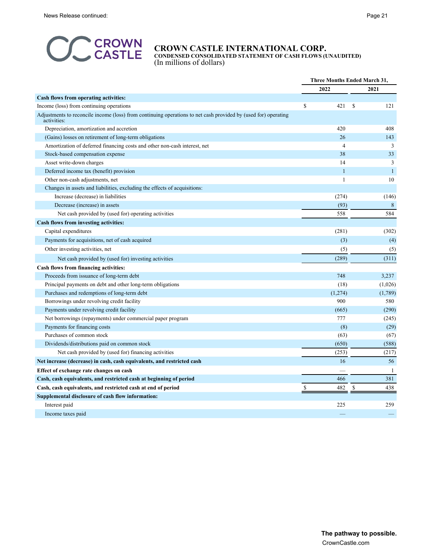

**CONDENSED CONSOLIDATED STATEMENT OF CASH FLOWS (UNAUDITED)** (In millions of dollars)

|                                                                                                                               |           | <b>Three Months Ended March 31,</b><br>2022<br>2021 |               |                |
|-------------------------------------------------------------------------------------------------------------------------------|-----------|-----------------------------------------------------|---------------|----------------|
|                                                                                                                               |           |                                                     |               |                |
| Cash flows from operating activities:                                                                                         |           |                                                     |               |                |
| Income (loss) from continuing operations                                                                                      | \$<br>421 |                                                     | <sup>\$</sup> | 121            |
| Adjustments to reconcile income (loss) from continuing operations to net cash provided by (used for) operating<br>activities: |           |                                                     |               |                |
| Depreciation, amortization and accretion                                                                                      | 420       |                                                     |               | 408            |
| (Gains) losses on retirement of long-term obligations                                                                         |           | 26                                                  |               | 143            |
| Amortization of deferred financing costs and other non-cash interest, net                                                     |           | $\overline{\mathcal{L}}$                            |               | 3              |
| Stock-based compensation expense                                                                                              |           | 38                                                  |               | 33             |
| Asset write-down charges                                                                                                      |           | 14                                                  |               | $\mathfrak{Z}$ |
| Deferred income tax (benefit) provision                                                                                       |           | 1                                                   |               | $\mathbf{1}$   |
| Other non-cash adjustments, net                                                                                               |           | 1                                                   |               | 10             |
| Changes in assets and liabilities, excluding the effects of acquisitions:                                                     |           |                                                     |               |                |
| Increase (decrease) in liabilities                                                                                            | (274)     |                                                     |               | (146)          |
| Decrease (increase) in assets                                                                                                 |           | (93)                                                |               | 8              |
| Net cash provided by (used for) operating activities                                                                          | 558       |                                                     |               | 584            |
| Cash flows from investing activities:                                                                                         |           |                                                     |               |                |
| Capital expenditures                                                                                                          | (281)     |                                                     |               | (302)          |
| Payments for acquisitions, net of cash acquired                                                                               |           | (3)                                                 |               | (4)            |
| Other investing activities, net                                                                                               |           | (5)                                                 |               | (5)            |
| Net cash provided by (used for) investing activities                                                                          | (289)     |                                                     |               | (311)          |
| Cash flows from financing activities:                                                                                         |           |                                                     |               |                |
| Proceeds from issuance of long-term debt                                                                                      | 748       |                                                     |               | 3,237          |
| Principal payments on debt and other long-term obligations                                                                    |           | (18)                                                |               | (1,026)        |
| Purchases and redemptions of long-term debt                                                                                   | (1,274)   |                                                     |               | (1,789)        |
| Borrowings under revolving credit facility                                                                                    |           | 900                                                 |               | 580            |
| Payments under revolving credit facility                                                                                      |           | (665)                                               |               | (290)          |
| Net borrowings (repayments) under commercial paper program                                                                    | 777       |                                                     |               | (245)          |
| Payments for financing costs                                                                                                  |           | (8)                                                 |               | (29)           |
| Purchases of common stock                                                                                                     |           | (63)                                                |               | (67)           |
| Dividends/distributions paid on common stock                                                                                  | (650)     |                                                     |               | (588)          |
| Net cash provided by (used for) financing activities                                                                          | (253)     |                                                     |               | (217)          |
| Net increase (decrease) in cash, cash equivalents, and restricted cash                                                        |           | 16                                                  |               | 56             |
| Effect of exchange rate changes on cash                                                                                       |           |                                                     |               | 1              |
| Cash, cash equivalents, and restricted cash at beginning of period                                                            | 466       |                                                     |               | 381            |
| Cash, cash equivalents, and restricted cash at end of period                                                                  | 482       |                                                     |               | 438            |
| Supplemental disclosure of cash flow information:                                                                             |           |                                                     |               |                |
| Interest paid                                                                                                                 | 225       |                                                     |               | 259            |
| Income taxes paid                                                                                                             |           |                                                     |               |                |